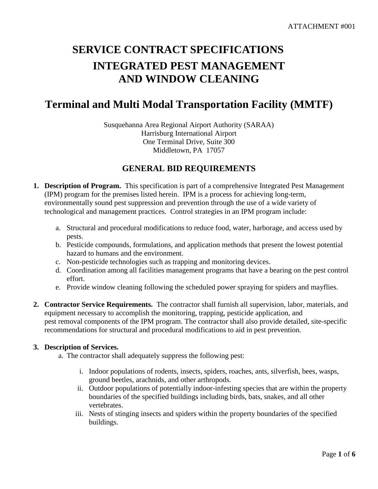# **SERVICE CONTRACT SPECIFICATIONS INTEGRATED PEST MANAGEMENT AND WINDOW CLEANING**

# **Terminal and Multi Modal Transportation Facility (MMTF)**

Susquehanna Area Regional Airport Authority (SARAA) Harrisburg International Airport One Terminal Drive, Suite 300 Middletown, PA 17057

# **GENERAL BID REQUIREMENTS**

- **1. Description of Program.** This specification is part of a comprehensive Integrated Pest Management (IPM) program for the premises listed herein. IPM is a process for achieving long-term, environmentally sound pest suppression and prevention through the use of a wide variety of technological and management practices. Control strategies in an IPM program include:
	- a. Structural and procedural modifications to reduce food, water, harborage, and access used by pests.
	- b. Pesticide compounds, formulations, and application methods that present the lowest potential hazard to humans and the environment.
	- c. Non-pesticide technologies such as trapping and monitoring devices.
	- d. Coordination among all facilities management programs that have a bearing on the pest control effort.
	- e. Provide window cleaning following the scheduled power spraying for spiders and mayflies.
- **2. Contractor Service Requirements.** The contractor shall furnish all supervision, labor, materials, and equipment necessary to accomplish the monitoring, trapping, pesticide application, and pest removal components of the IPM program. The contractor shall also provide detailed, site-specific recommendations for structural and procedural modifications to aid in pest prevention.

#### **3. Description of Services.**

- a. The contractor shall adequately suppress the following pest:
	- i. Indoor populations of rodents, insects, spiders, roaches, ants, silverfish, bees, wasps, ground beetles, arachnids, and other arthropods.
	- ii. Outdoor populations of potentially indoor-infesting species that are within the property boundaries of the specified buildings including birds, bats, snakes, and all other vertebrates.
	- iii. Nests of stinging insects and spiders within the property boundaries of the specified buildings.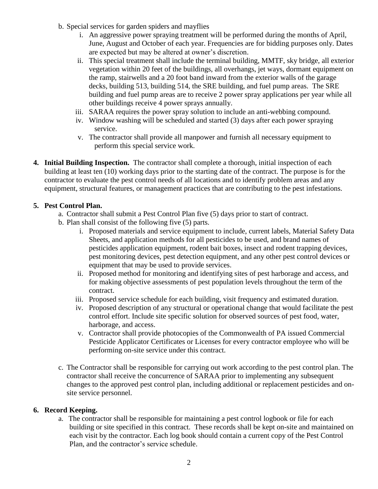- b. Special services for garden spiders and mayflies
	- i. An aggressive power spraying treatment will be performed during the months of April, June, August and October of each year. Frequencies are for bidding purposes only. Dates are expected but may be altered at owner's discretion.
	- ii. This special treatment shall include the terminal building, MMTF, sky bridge, all exterior vegetation within 20 feet of the buildings, all overhangs, jet ways, dormant equipment on the ramp, stairwells and a 20 foot band inward from the exterior walls of the garage decks, building 513, building 514, the SRE building, and fuel pump areas. The SRE building and fuel pump areas are to receive 2 power spray applications per year while all other buildings receive 4 power sprays annually.
	- iii. SARAA requires the power spray solution to include an anti-webbing compound.
	- iv. Window washing will be scheduled and started (3) days after each power spraying service.
	- v. The contractor shall provide all manpower and furnish all necessary equipment to perform this special service work.
- **4. Initial Building Inspection.** The contractor shall complete a thorough, initial inspection of each building at least ten (10) working days prior to the starting date of the contract. The purpose is for the contractor to evaluate the pest control needs of all locations and to identify problem areas and any equipment, structural features, or management practices that are contributing to the pest infestations.

# **5. Pest Control Plan.**

- a. Contractor shall submit a Pest Control Plan five (5) days prior to start of contract.
- b. Plan shall consist of the following five (5) parts.
	- i. Proposed materials and service equipment to include, current labels, Material Safety Data Sheets, and application methods for all pesticides to be used, and brand names of pesticides application equipment, rodent bait boxes, insect and rodent trapping devices, pest monitoring devices, pest detection equipment, and any other pest control devices or equipment that may be used to provide services.
	- ii. Proposed method for monitoring and identifying sites of pest harborage and access, and for making objective assessments of pest population levels throughout the term of the contract.
	- iii. Proposed service schedule for each building, visit frequency and estimated duration.
	- iv. Proposed description of any structural or operational change that would facilitate the pest control effort. Include site specific solution for observed sources of pest food, water, harborage, and access.
	- v. Contractor shall provide photocopies of the Commonwealth of PA issued Commercial Pesticide Applicator Certificates or Licenses for every contractor employee who will be performing on-site service under this contract.
- c. The Contractor shall be responsible for carrying out work according to the pest control plan. The contractor shall receive the concurrence of SARAA prior to implementing any subsequent changes to the approved pest control plan, including additional or replacement pesticides and onsite service personnel.

# **6. Record Keeping.**

a. The contractor shall be responsible for maintaining a pest control logbook or file for each building or site specified in this contract. These records shall be kept on-site and maintained on each visit by the contractor. Each log book should contain a current copy of the Pest Control Plan, and the contractor's service schedule.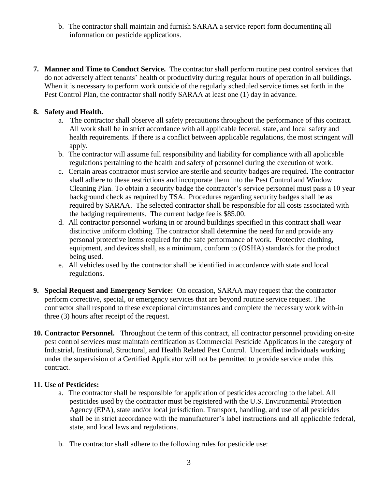- b. The contractor shall maintain and furnish SARAA a service report form documenting all information on pesticide applications.
- **7. Manner and Time to Conduct Service.** The contractor shall perform routine pest control services that do not adversely affect tenants' health or productivity during regular hours of operation in all buildings. When it is necessary to perform work outside of the regularly scheduled service times set forth in the Pest Control Plan, the contractor shall notify SARAA at least one (1) day in advance.

#### **8. Safety and Health.**

- a. The contractor shall observe all safety precautions throughout the performance of this contract. All work shall be in strict accordance with all applicable federal, state, and local safety and health requirements. If there is a conflict between applicable regulations, the most stringent will apply.
- b. The contractor will assume full responsibility and liability for compliance with all applicable regulations pertaining to the health and safety of personnel during the execution of work.
- c. Certain areas contractor must service are sterile and security badges are required. The contractor shall adhere to these restrictions and incorporate them into the Pest Control and Window Cleaning Plan. To obtain a security badge the contractor's service personnel must pass a 10 year background check as required by TSA. Procedures regarding security badges shall be as required by SARAA. The selected contractor shall be responsible for all costs associated with the badging requirements. The current badge fee is \$85.00.
- d. All contractor personnel working in or around buildings specified in this contract shall wear distinctive uniform clothing. The contractor shall determine the need for and provide any personal protective items required for the safe performance of work. Protective clothing, equipment, and devices shall, as a minimum, conform to (OSHA) standards for the product being used.
- e. All vehicles used by the contractor shall be identified in accordance with state and local regulations.
- **9. Special Request and Emergency Service:** On occasion, SARAA may request that the contractor perform corrective, special, or emergency services that are beyond routine service request. The contractor shall respond to these exceptional circumstances and complete the necessary work with-in three (3) hours after receipt of the request.
- **10. Contractor Personnel.** Throughout the term of this contract, all contractor personnel providing on-site pest control services must maintain certification as Commercial Pesticide Applicators in the category of Industrial, Institutional, Structural, and Health Related Pest Control. Uncertified individuals working under the supervision of a Certified Applicator will not be permitted to provide service under this contract.

#### **11. Use of Pesticides:**

- a. The contractor shall be responsible for application of pesticides according to the label. All pesticides used by the contractor must be registered with the U.S. Environmental Protection Agency (EPA), state and/or local jurisdiction. Transport, handling, and use of all pesticides shall be in strict accordance with the manufacturer's label instructions and all applicable federal, state, and local laws and regulations.
- b. The contractor shall adhere to the following rules for pesticide use: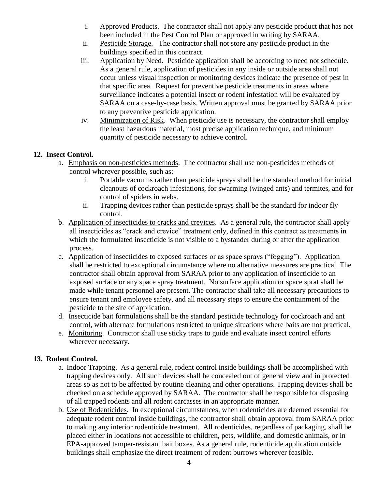- i. Approved Products. The contractor shall not apply any pesticide product that has not been included in the Pest Control Plan or approved in writing by SARAA.
- ii. Pesticide Storage. The contractor shall not store any pesticide product in the buildings specified in this contract.
- iii. Application by Need. Pesticide application shall be according to need not schedule. As a general rule, application of pesticides in any inside or outside area shall not occur unless visual inspection or monitoring devices indicate the presence of pest in that specific area. Request for preventive pesticide treatments in areas where surveillance indicates a potential insect or rodent infestation will be evaluated by SARAA on a case-by-case basis. Written approval must be granted by SARAA prior to any preventive pesticide application.
- iv. Minimization of Risk. When pesticide use is necessary, the contractor shall employ the least hazardous material, most precise application technique, and minimum quantity of pesticide necessary to achieve control.

#### **12. Insect Control.**

- a. Emphasis on non-pesticides methods. The contractor shall use non-pesticides methods of control wherever possible, such as:
	- i. Portable vacuums rather than pesticide sprays shall be the standard method for initial cleanouts of cockroach infestations, for swarming (winged ants) and termites, and for control of spiders in webs.
	- ii. Trapping devices rather than pesticide sprays shall be the standard for indoor fly control.
- b. Application of insecticides to cracks and crevices. As a general rule, the contractor shall apply all insecticides as "crack and crevice" treatment only, defined in this contract as treatments in which the formulated insecticide is not visible to a bystander during or after the application process.
- c. Application of insecticides to exposed surfaces or as space sprays ("fogging"). Application shall be restricted to exceptional circumstance where no alternative measures are practical. The contractor shall obtain approval from SARAA prior to any application of insecticide to an exposed surface or any space spray treatment. No surface application or space sprat shall be made while tenant personnel are present. The contractor shall take all necessary precautions to ensure tenant and employee safety, and all necessary steps to ensure the containment of the pesticide to the site of application.
- d. Insecticide bait formulations shall be the standard pesticide technology for cockroach and ant control, with alternate formulations restricted to unique situations where baits are not practical.
- e. Monitoring. Contractor shall use sticky traps to guide and evaluate insect control efforts wherever necessary.

#### **13. Rodent Control.**

- a. Indoor Trapping. As a general rule, rodent control inside buildings shall be accomplished with trapping devices only. All such devices shall be concealed out of general view and in protected areas so as not to be affected by routine cleaning and other operations. Trapping devices shall be checked on a schedule approved by SARAA. The contractor shall be responsible for disposing of all trapped rodents and all rodent carcasses in an appropriate manner.
- b. Use of Rodenticides. In exceptional circumstances, when rodenticides are deemed essential for adequate rodent control inside buildings, the contractor shall obtain approval from SARAA prior to making any interior rodenticide treatment. All rodenticides, regardless of packaging, shall be placed either in locations not accessible to children, pets, wildlife, and domestic animals, or in EPA-approved tamper-resistant bait boxes. As a general rule, rodenticide application outside buildings shall emphasize the direct treatment of rodent burrows wherever feasible.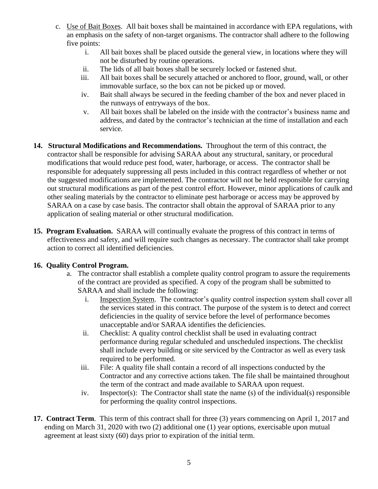- c. Use of Bait Boxes. All bait boxes shall be maintained in accordance with EPA regulations, with an emphasis on the safety of non-target organisms. The contractor shall adhere to the following five points:
	- i. All bait boxes shall be placed outside the general view, in locations where they will not be disturbed by routine operations.
	- ii. The lids of all bait boxes shall be securely locked or fastened shut.
	- iii. All bait boxes shall be securely attached or anchored to floor, ground, wall, or other immovable surface, so the box can not be picked up or moved.
	- iv. Bait shall always be secured in the feeding chamber of the box and never placed in the runways of entryways of the box.
	- v. All bait boxes shall be labeled on the inside with the contractor's business name and address, and dated by the contractor's technician at the time of installation and each service.
- **14. Structural Modifications and Recommendations.** Throughout the term of this contract, the contractor shall be responsible for advising SARAA about any structural, sanitary, or procedural modifications that would reduce pest food, water, harborage, or access. The contractor shall be responsible for adequately suppressing all pests included in this contract regardless of whether or not the suggested modifications are implemented. The contractor will not be held responsible for carrying out structural modifications as part of the pest control effort. However, minor applications of caulk and other sealing materials by the contractor to eliminate pest harborage or access may be approved by SARAA on a case by case basis. The contractor shall obtain the approval of SARAA prior to any application of sealing material or other structural modification.
- **15. Program Evaluation.** SARAA will continually evaluate the progress of this contract in terms of effectiveness and safety, and will require such changes as necessary. The contractor shall take prompt action to correct all identified deficiencies.

# **16. Quality Control Program.**

- a. The contractor shall establish a complete quality control program to assure the requirements of the contract are provided as specified. A copy of the program shall be submitted to SARAA and shall include the following:
	- i. Inspection System. The contractor's quality control inspection system shall cover all the services stated in this contract. The purpose of the system is to detect and correct deficiencies in the quality of service before the level of performance becomes unacceptable and/or SARAA identifies the deficiencies.
	- ii. Checklist: A quality control checklist shall be used in evaluating contract performance during regular scheduled and unscheduled inspections. The checklist shall include every building or site serviced by the Contractor as well as every task required to be performed.
	- iii. File: A quality file shall contain a record of all inspections conducted by the Contractor and any corrective actions taken. The file shall be maintained throughout the term of the contract and made available to SARAA upon request.
	- iv. Inspector(s): The Contractor shall state the name (s) of the individual(s) responsible for performing the quality control inspections.
- **17. Contract Term**. This term of this contract shall for three (3) years commencing on April 1, 2017 and ending on March 31, 2020 with two (2) additional one (1) year options, exercisable upon mutual agreement at least sixty (60) days prior to expiration of the initial term.